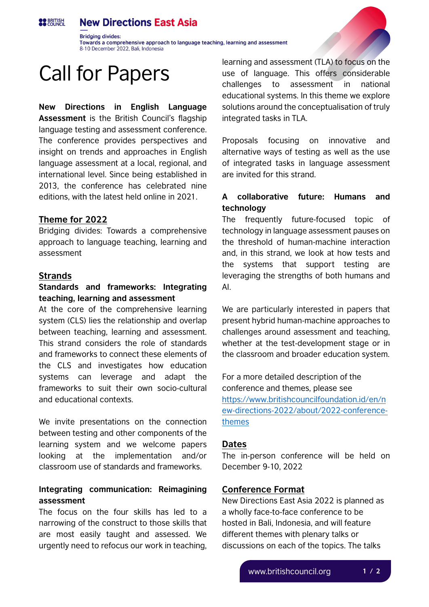#### **New Directions East Asia OO BRITISH**

**Bridging divides:** Towards a comprehensive approach to language teaching, learning and assessment 8-10 December 2022, Bali, Indonesia

# Call for Papers

**New Directions in English Language Assessment** is the British Council's flagship language testing and assessment conference. The conference provides perspectives and insight on trends and approaches in English language assessment at a local, regional, and international level. Since being established in 2013, the conference has celebrated nine editions, with the latest held online in 2021.

## **Theme for 2022**

Bridging divides: Towards a comprehensive approach to language teaching, learning and assessment

#### **Strands**

# **Standards and frameworks: Integrating teaching, learning and assessment**

At the core of the comprehensive learning system (CLS) lies the relationship and overlap between teaching, learning and assessment. This strand considers the role of standards and frameworks to connect these elements of the CLS and investigates how education systems can leverage and adapt the frameworks to suit their own socio-cultural and educational contexts.

We invite presentations on the connection between testing and other components of the learning system and we welcome papers looking at the implementation and/or classroom use of standards and frameworks.

# **Integrating communication: Reimagining assessment**

The focus on the four skills has led to a narrowing of the construct to those skills that are most easily taught and assessed. We urgently need to refocus our work in teaching,

learning and assessment (TLA) to focus on the use of language. This offers considerable challenges to assessment in national educational systems. In this theme we explore solutions around the conceptualisation of truly integrated tasks in TLA.

Proposals focusing on innovative and alternative ways of testing as well as the use of integrated tasks in language assessment are invited for this strand.

# **A collaborative future: Humans and technology**

The frequently future-focused topic of technology in language assessment pauses on the threshold of human-machine interaction and, in this strand, we look at how tests and the systems that support testing are leveraging the strengths of both humans and AI.

We are particularly interested in papers that present hybrid human-machine approaches to challenges around assessment and teaching, whether at the test-development stage or in the classroom and broader education system.

For a more detailed description of the conference and themes, please see [https://www.britishcouncilfoundation.id/en/n](https://www.britishcouncilfoundation.id/en/new-directions-2022/about/2022-conference-themes) [ew-directions-2022/about/2022-conference](https://www.britishcouncilfoundation.id/en/new-directions-2022/about/2022-conference-themes)[themes](https://www.britishcouncilfoundation.id/en/new-directions-2022/about/2022-conference-themes)

#### **Dates**

The in-person conference will be held on December 9-10, 2022

#### **Conference Format**

New Directions East Asia 2022 is planned as a wholly face-to-face conference to be hosted in Bali, Indonesia, and will feature different themes with plenary talks or discussions on each of the topics. The talks